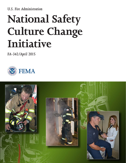*U.S. Fire Administration*

# **National Safety Culture Change Initiative**

*FA-342/April 2015*



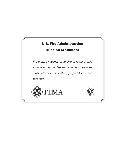## U.S. Fire Administration

### Mission Statement

*We provide national leadership to foster a solid*  foundation for our fire and emergency services *stakeholders in prevention, preparedness, and response.*



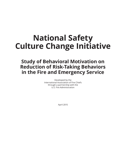## **National Safety Culture Change Initiative**

## **Study of Behavioral Motivation on Reduction of Risk-Taking Behaviors in the Fire and Emergency Service**

Developed by the International Association of Fire Chiefs through a partnership with the U.S. Fire Administration

April 2015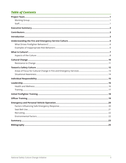#### **Table of Contents**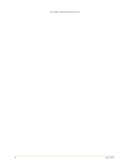*This page intentionally left blank.*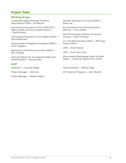#### *Project Team*

#### **Working Group**

Cumberland Valley Volunteer Firemen's Association (CVVFA) — Jim Watson

International Association of Fire Chiefs (IAFC) Safety, Health and Survival (SHS) Section — I. David Daniels

International Association of Fire Fighters (IAFF) — Patrick Morrison

National Fallen Firefighters Foundation (NFFF) — Victor Stagnaro

National Fire Protection Association (NFPA) — John Caufield

National Institute for Occupational Safety and Health (NIOSH) — Murrey Loflin

#### **Staff**

Facilitator — Courtney Bulger

Project Manager — Vicki Lee

Project Manager — Melissa Hebert

National Volunteer Fire Council (NVFC) — Sarah Lee

North American Fire Training Directors (NAFTD) — Eriks Gabliks

NAFTD/University of Illinois Fire Service Institute — Brian R. Brauer

U.S. Fire Administration (USFA) — Bill Troup, Project Officer

USFA — Brad Pabody

USFA — Burt Clark, Ed.D.

Johns Hopkins Bloomberg School of Public Health — Keshia M. Pollack, Ph.D., M.P.H.

Technical Writer — William Stipp

IAFC National Programs — John Woulfe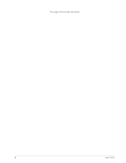*This page intentionally left blank.*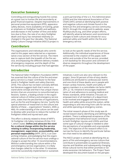#### *Executive Summary*

Controlling and extinguishing hostile fire comes at a great cost to human life and secondarily at great financial expense. Despite improvements in personal protective equipment (PPE), apparatus safety devices, more availability of training, greater emphasis on firefighter health and wellness, and decreases in the number of fires and dollar loss due to fires, the rate of on-duty firefighter death and injury has remained relatively unchanged in the past four decades. The National Safety Culture Change Initiative (NSCCI) project is

#### *Contributors*

The organizations and individuals who contributed to this paper were selected as a representative cross section of the fire service. The intent was to capture both the breadth of the fire service, encompassing the different delivery models of emergency response, and the depth of the fire service by including groups that had agendas a joint partnership of the U.S. Fire Administration (USFA) and the International Association of Fire Chiefs (IAFC) aimed at identifying both positive and negative culture and climate found in the American fire and emergency service community. NSCCI, through this study and its website, www. ffsafetyculture.org, and other project efforts, will identify adverse behaviors and recommend changes to both culture and climate for occupational safety and health within the fire and emergency service.

to look at the specific needs of the fire service. Additionally, the individual experiences of those connected to the creation of this paper, both within and outside of the fire service, provided a rich backdrop for discussion and comment of diverse viewpoints throughout the development of the paper.

#### *Introduction*

The National Fallen Firefighters Foundation (NFFF) has asserted that the culture of the fire and emergency service is a major contributor to the fatal trend in firefighter health and safety (Siarnicki, 2010). This culture has not been concisely defined, but literature suggests both that it exists as a stand-alone concept and that it has unique characteristics that are uncommon to nonuniformed professions. Soeters, a leading scholar in the organizational culture of military and emergency service units, states that the peculiarities of organizations, such as the fire and Emergency Service, "justify the special attention of researchers to the culture and identity of these … organizations" (Soeters, 2000, p. 466). An understanding of the culture can be used to develop safer practices to reduce the number of firefighters killed and injured each year.

This effort is directly related to three of NFFF's 16 Firefighter Life Safety Initiatives (FLSIs). FLSI 1, which states: **Define and advocate the need for a cultural change within the fire service relating to safety; incorporating leadership, management, supervision, accountability, and personal responsibility** (NFFF, 2011), is an overarching initiative, acknowledging that the organizational culture of the fire service must undergo a change to accept the other 15 recommendations. Without understanding the culture within a fire and emergency service organization, it is likely that changes called for in the other 15 initiatives cannot be successfully implemented or sustained.

Initiatives 2 and 6 are also very relevant to this project. Since 50 percent of line-of-duty deaths (LODDs) are attributed to cardiovascular events and one-third of these deaths are in people with known cardiac histories, health and safety of agency members is a controllable risk factor (NFFF, 2011, p. 13). Initiative 6 encourages implementation of and adherence to existing medical and fitness standards, while Initiative 2 focuses on empowerment of all members of a department to be involved and engaged with departmental health and safety while around the station, while responding to and returning from calls for service, and while operating at emergency scenes.

The initial research phase of this study was directed toward clearly identifying and defining the problem. There is widespread acceptance of the presumption that behavioral issues contribute to both firefighter injuries and LODDs and that some type of cultural change is needed to alter the perceptions of acceptable and unacceptable risks. The objective of the research effort is to narrow the focus to identify the particular behaviors that need to be addressed.

The NSCCI project is aimed at identifying the aspects of fire and emergency service culture that contribute to preventable occupational illnesses, injuries and fatalities and subsequently changing those cultural norms that either promote or tolerate excessive risk behaviors. The Project Team developed this document based on the perspec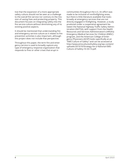tive that the expansion of a more appropriate safety culture should not be seen as a challenge to the overall fire service nor contrary to the mission of saving lives and protecting property. This document focuses on integrating safety into the fire service culture without diminishing any of its existing positive aspects.

It should be mentioned that understanding fire and emergency service culture as it relates to fire prevention activities is also important, although this project does not include that perspective.

Throughout this paper, the term fire and emergency service is used to broadly capture any type of emergency response organization that responds to fires or other crises that erupt in

communities throughout the U.S. An effort was made to be inclusive of nonfirefighting areas, but there is little literature available that looks broadly at emergency services that are not directly engaged in firefighting. However, a study produced under a cooperative agreement between the National Highway Traffic Safety Administration (NHTSA), with support from the Health Resources and Services Administration's (HRSA's) Emergency Medical Services for Children (EMSC) program, and the American College of Emergency Physicians (ACEP) looks specifically at an "EMS Culture of Safety" and can be accessed at http://www.emscultureofsafety.org/wp-content/ uploads/2013/10/Strategy-for-a-National-EMS-Culture-of-Safety-10-03-13.pdf.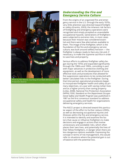

Photo by Ron Moore, Courtesy of Cornbelt (Illinois) Fire Protection District

#### *Understanding the Fire and Emergency Service Culture*

From the origins of an organized fire and emergency service in the U.S. through the early 1970s, very little attention was directed toward firefighter safety (Granito, 2003); the inherent risk factors of firefighting and emergency operations were recognized and simply accepted as unavoidable occupational hazards. Generations of firefighters were subjected to extreme risks, in most cases because their mission was considered essential and there were few alternatives available to them. The image of the firefighter, which is the foundation of the fire and emergency service culture, was built around selfless heroism — the firefighter is always ready to face any risk and, if necessary, to make the supreme sacrifice in order to save lives and property.

Serious efforts to address firefighter safety began during the 1970s and expanded significantly through the 1980s and 1990s, coinciding in part with major advances in protective clothing and equipment, as well as the development of more effective tools and procedures that allowed for fire suppression operations to be conducted with better calculated risks to the firefighter. During that time period, operational procedures began to incorporate firefighter health and safety as primary objectives, on a par with saving civilian lives and as a higher priority than saving property (Linke, 2008). National Fire Protection Association (NFPA) 1500, *Standard on Fire Department Occupational Safety and Health Program* was published in 1987 as the first consensus standard to address occupational safety and health for organizations delivering emergency services.

The NSCCI project is directed toward this particular aspect of the effort to further reduce LODDs, as well as decreasing occupational injuries and illnesses within the fire and emergency service. It is intended to identify and examine the factors that cause or influence firefighters to make decisions and engage in actions that involve unnecessary and avoidable risks, which often places their own lives, and potentially the lives of their fellow firefighters, in danger when there are less dangerous options available. Expressing the concept in terms of risk management, this would refer to situations where the potential gain is out of balance with the potential loss.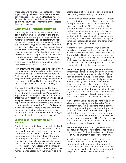This paper and its proposed strategies for reducing risk-taking behaviors in the fire and emergency service are based on a literature review, focused discussions, and the experiences and collective knowledge of members of the Project Team and reviewers.

#### **What Drives Firefighter Behaviors?**

U.S. society as a whole may contribute to the risk behaviors that are demonstrated within the fire service. Communities expect an urgent and timely response to emergencies and disasters with fully trained individuals arriving on adequately staffed apparatus. However, public knowledge of the complexities and challenges of building, maintaining and delivering such service capabilities is often transparent or invisible to those funding the services until the system fails to meet public expectations. Some fire and emergency service organizations do not have the resources to implement advanced training programs or provide training beyond that which is minimally required for each position.

Firefighters who are questioned in relation to their high-risk behaviors often refer to either public or organizational expectations of selfless heroism. Such perceptions are consistent with the popular image of the firefighter as a daring individual who is willing to risk life and limb to save the life of a total stranger and who is lauded for doing so.

Those with a traditional outlook often express disagreement with the emphasis that has been directed toward "acceptable risks" and "rules of engagement," claiming that they promote nonaggressive and ineffective operations. The opposing viewpoint asserts that there are times when it is appropriate to be boldly aggressive and times to be intelligently cautious. The focus of this paper is to seek out areas where the level of safety in the provision of a fire and emergency service organization can be improved without diluting or lessening the critical mission of service delivery.

#### **Examples of Inappropriate Risk Behaviors**

Firefighters are routinely called upon to deal with situations that involve risks that could result in their death or injury or contribute to an occupational illness or disability. Several of these risk factors are inherent to the nature of the work that firefighters perform; however, the level of exposure to those risks varies depending on decisions that are made and actions that are taken — or not taken — when faced with a particular situation and set of circumstances. A general risk management philosophy in the fire service is risk

a lot to save a lot, risk a little to save a little, and risk nothing to save nothing (Linke, 2008).

Most of the discussion of risk exposure is written in the context of structural firefighting, where the concepts of offensive versus defensive strategy are easily defined. Offensive strategy places firefighters in close contact with the fire, inside the burning building, and involves a certain level of inherent risk. Defensive strategy keeps firefighters outside, in what should be safe exterior locations, to minimize risk. This concept requires some extrapolation to be applied to other emergency responses and scenes.

While the Incident Commander's (IC's) decisions establish a theoretical level of acceptable risk that applies to every individual involved in an incident, at times, individual firefighters knowingly or unknowingly expose themselves to higher levels of risk than the IC has deemed acceptable. This is a particular problem when individual perceptions of acceptable risk are different from the IC's perceptions.

Fire and emergency service organizations should concentrate on implementing and demonstrating an effective and measurable model of firefighter training. This model supports and emphasizes the behaviors learned during initial firefighter training (recruit training) and continuously builds upon those experiences to build advanced skill sets throughout their service as a firefighter/EMS provider. This training should subscribe to the philosophy that health and safety are the capstone of any model. The focus areas of risk behavior modification are education, training, health and wellness.

With regard to vehicle operations for both personally owned and agency-owned vehicles, fire and emergency service organizations should concentrate on implementing and demonstrating an effective and measurable model of driver/operator training that advances skill sets throughout tenure as a firefighter, ensures quality, and provides for driver/operator accountability. The focus areas of risk behavior modification are driver capability, quality assurance and accountability.

Fire and emergency service organizations must also focus on moving toward compliance with national standards for health and wellness, fitness for duty, and emergency scene rehabilitation.

In each of these cases, scenarios can present themselves where emergency responders act without a full understanding of the potential scope and fallout from their actions, leading to illness, injury or death that is out of alignment with the potential value of the chosen action.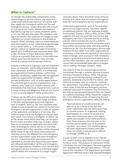#### *What Is Culture?*

To change the undesirable components of fire and emergency service culture, one must first understand the broad construct of culture and then apply this framework within the fire and emergency service. Schein describes the culture of a group as the "basic, shared, assumptions" learned by a group as it solves problems (2004, p. 17). He indicates that when this problem-solving is successful, the methods are taught to new members as correct solutions to the problems (Schein, 2004). Hofstede refers to these methods and assumptions as the "collective programming of the mind" (2001, p. 1). Kluckhorn similarly defines culture as "patterned ways of thinking," based upon traditional and historical ideas (1951, p. 86). All three of these definitions identify culture as a process that occurs in the individual, based upon learned behaviors that are influenced by a group and the group's history.

Culture is reflected in a group's internal characteristics, its character, and its daily existence (Goodman, Zammuto, & Gifford, 2001). It is influenced by organizational history, policies, uniforming, facilities, vocabulary, leadership and management within an organization (Compton, 2003). Uniformed professions, such as police departments, fire and emergency service organizations, and military units, have such unique cultures unto themselves that they have characteristics, such as a sense of duty and allegiance, that are not found in such a strong degree in other professions.

"Culture can be difficult to substantively define, but culture truly describes how things are done in the [fire and emergency service] organization" (Compton, 2003, p. 24). This comment may allude to how entwined the culture of the fire and emergency service organization is with all aspects of the operations and delivery of services. The culture impacts how the firefighters interact with each other, from where a firefighter or officer sits at the dinner table, which seat they can occupy in the TV room and when they may sit down, where they sit on emergency apparatus and what their roles at emergency scenes will be, to how they may interact with other members of the company. While these rituals and values have some commonality across the different fire and emergency service organization types and sizes throughout the U.S., it would be both inaccurate and irresponsible to assume that these traits and values are reflected identically in all fire and emergency service organizations. However, since the fire and emergency service functions as individual organizations within the framework of a larger organizational culture, there should be some common themes and values that are present throughout most fire and emergency service organizations.

Uniformed organizations, such as fire and emergency service organizations, represent "specific occupational cultures that are relatively isolated from society" (Soeters, 2000, p. 465). Archer (1999) supports this with his assertion that the fire and emergency service is "characterized by its strong culture," which includes the use of a uniform, hierarchical command structure, promotion solely from within the existing ranks, and long-standing traditions (p. 94). Fire and emergency service organizations further differ from other organizations/ businesses in that they are exposed to uncommon levels of danger, work unusual or shift schedules, require a great deal of physical and mental stamina from their members, and can recall staff and cancel their prescheduled leave due to emergencies or staffing shortages (Soeters, 2000).

This culture of the fire and emergency service has evolved through a complex process of group learning (Thompson & Bono, 1993). This group learning occurs during training, emergency responses, downtime around the fire station, and informal activities, such as cookouts, meals at the department, storytelling, and watching TV. In some cases, in the fire and emergency service, methods espoused as solutions may be incorrect, but they are perpetuated because they are viewed as traditions (Gasaway, 2005). Pessemier supports this in his 2008 discussion of improving fire and emergency service organization safety by stating:

"Normalization of unsafe practices can also occur as a result of the fact that other individuals take the same [incorrect or unsafe] actions. If, in general, nothing bad happens as a result of unsafe practices, and if everyone else in the organization participates in the same practices, then these practices become part of the normal and accepted way of accomplishing tasks. As a result, Fire and Emergency services organization history and traditions can create a culture that is difficult to change" (2008b, p. 3).

In June of 2007, nine firefighters from Charleston, South Carolina, were killed in a fire in a large furniture store. The analysis of operations of the Charleston Fire and Emergency Services organization revealed that, among many factors, "The culture of the Charleston Fire Department promoted aggressive offensive tactics that exposed firefight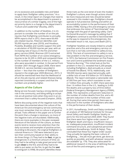ers to excessive and avoidable risks and failed to apply basic firefighter safety practices." As a result, in the initial report on changes that need to be accomplished in the department to prevent a reoccurrence of a similar tragedy, one of the highest priority items is a change to the department's "Culture and Leadership" (Routley, 2007).

In addition to the number of fatalities, it is important to consider the number of on-the-job injuries that firefighting contributes to annually. NFPA reports that in 2012, there were 69,400 job-related injuries. Peterson identifies over 95,000 injuries per year (2010), and Houdous, Pizatella, Braddee and Castillo support this with a calculation of 90,000 injuries per year, with an increasing rate of injury in the fire and emergency service (2004). Brennan (2011) extracted from NFPA the number of on-scene emergency injuries to be 32,205 in 2009 and compared these to the number of members of the U.S. military who were wounded in combat. In the period from October 2001 through August 2008, there were 30,568 U.S. service members wounded in action — less than the number of firefighters injured in the single year 2009 (Brennan, 2011). It should be mentioned here that the likelihood of all on-the-job injuries and related illnesses being reported consistently is suspect and that the numbers are probably higher.

#### **Aspects of the Culture**

Being service-focused, having a strong identity and role in the community, and being willing to accept risk are all positive traits when they exist in an environment that is safety-focused (Compton, 2003).

Before discussing some of the negative traits that have been documented about the culture of the American fire and emergency service community, one must remember that no culture is all good or all bad. Traits offered in this paper are to further the point that a change is necessary, so more of the negative traits are elucidated. Additionally, there are more examples in the peer-reviewed literature of the failures of the culture, as these events tend to receive more attention than the daily successes and examples of positive action. According to Brunacini, the original firefighters in colonial America in 1740 were selected to protect their community based on their ability to do three things: (1) They had to be **fast**, to get to emergencies in a minimum amount of time; (2) they had to be willing to take great personal risks to get **close** to the fire; and (3) they had to be able to put water on the fire, to get the fire **wet** to extinguish it (1998). Brunacini identifies these

three traits as the core tenet of even the modern firefighter's culture, even though actions should be more measured and risks should be better assessed in this modern age. Firefighters should operate in full protective clothing and within an accountability system in the performance of their duties (1998). Having a fire and emergency service that embraces the notion of "fast/close/wet" may misalign with the goal of operating safely. Clark furthered Brunacini's message by adding that if firefighters continue to ascribe to fast/close/wet as the way to respond to fire emergencies, the inevitable result is risk, injury and death (2011).

Firefighter fatalities are closely linked to unsafe practices and a fire and emergency service culture that is not fully committed to safety (Cross, 2010). This lack of commitment to safety is not a new problem in the fire and emergency service. In 1973, the National Commission on Fire Prevention and Control published the landmark study "America Burning." This initial look at the fire problem in the U.S. revealed that 6,200 people, including firefighters, died annually as a result of hostile fire (Bland, 1973). Additionally, over 100,000 injuries were reported annually, with a dollar loss of over \$10 billion (in 1973 dollars) (Bland). The report estimated a nationwide rate of 300 fires per hour, which translates to over 2.7 million fires annually. In 2007, there were less than 1.6 million fires in the U.S., leading to 3,430 fire deaths and a property loss of \$14.6 billion (Federal Emergency Management Agency (FEMA), 2008). This represents a 44 percent reduction in the number of civilian deaths from fire, and a 40 percent reduction in the number of fires overall. During that same time period, there was no reduction in the number of firefighters who died in the performance of their duties.

In 2011, Kunadharaju, Smith and DeJoy conducted an analysis of 189 National Institute for Occupational Safety and Health firefighter fatality reports for the time period 2004-2009. They found that there were four higher-order causes of firefighter death and injury: insufficient resources, inadequate preparation, insufficient incident command structure, and suboptimal personnel readiness (Kunadharaju, Smith & DeJoy). They concluded that these four higher-order causes "may actually be tapping the basic culture of firefighting … the job must get done, get done as quickly as possible, and with whatever resources are available" (p. 179). They also advocated for additional research in the area of defining the culture of the fire and emergency service.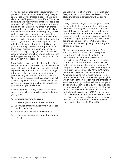As has been shown for other occupational safety problems, the true root causes of many firefighter fatalities may be traceable back to basic cultural attributes (Pidgeon & O'Leary, 2000). The focus on culture as a factor in firefighter fatalities is not new, with IAFC, NFFF and the International Association of Fire Fighters being three high-profile organizations identifying culture as a critical area for change within the fire and emergency service. Various task forces and panels have called for culture change within firefighting organizations. What is new here is an initial attempt to probe for cultural symptoms using a very important and valuable data source: firefighter fatality investigations. Although the conclusions presented in the present research are not in any way definitive or final, they do highlight the importance of cultural factors in firefighter line-of-duty fatalities and suggest some specific factors that should be examined in future research.

David Archer concurs with this description of the fire and emergency service culture, and elaborates on what he calls the discipline code, which "is highly prescriptive, promotes … from within the organization only … has long standing traditions, and is predominantly white-male dominated" (1999, p. 1). He further discusses that this system is perpetuated through the cultural processes that individuals are introduced to when they go through the paramilitary-style initial training.

Baigent identified five key areas of culture that are common in interactions between firefighters (2001, p. 7):

- 1. Ostracizing anyone different.
- 2. Ostracizing anyone who doesn't conform.
- 3. Bullying and threatening anyone who resists the dominant group.
- 4. Excluding outsiders from fire station life.
- 5. Frequent joking as an instrument to continue bullying.

Brunacini's description of the treatment of new firefighters who don't follow the direction of the older firefighters is consistent with Baigent's criteria.

Lewis, a scholar studying issues of gender and racial inequity in firefighter selection and training, juxtaposes the image of firefighters as heroes against the culture of firefighting: "Firefighters around the world are heroes in the hearts and minds of the public. ... However, research into the culture of firefighting worldwide has also shown disturbing and quite 'uniform' characteristics have been normalized by many under the guise of tradition" (2004).

Phillip Schaenman conducted a study of over 1,000 firefighters' attitudes and perceptions regarding safety in the wildland firefighting environment. Respondents described the culture as being one "of hardship, adventure, close friendships, and commitment; experience over rank … enjoys stories of conquest and danger," and pride at how different a wildland firefighter's life is from the rest of society (1996, p. 193). One respondent described the culture as one with "long traditions" (p. 196). These varied descriptions of aspects of the culture make up the tightly woven fabric of the American fire and emergency service community that bears closer investigation and analysis. Organizational cultures such as this are more complicated and have a greater impact on decision-making than insiders to the culture typically realize (Vaughan, 1997). Organizational values within the fire and emergency service are the "shared standards and core beliefs that guide decisions and actions within" the fire and emergency service (Cochran, 2006, p. 454).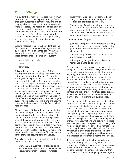#### *Cultural Change*

It is evident that many interrelated factors must be addressed in order to produce a significant change in outcomes in terms of reducing line-ofduty injuries and deaths and improving overall firefighter safety and health. The existing fire and emergency service culture, as it relates to occupational safety and health, was identified as both a cause and an effect of the current situation. A cultural change would set the stage for many incremental changes that would produce the desired positive impact.

Cultural researcher Edgar Schein identified the fundamental components of an organizational culture as a system of shared behaviors, values, assumptions and beliefs (2004). He describes these components as a three-layer system:

- Assumptions and beliefs.
- Values.
- Behaviors.

This model begins with a system of shared assumptions and beliefs that provides the foundation for organizational values. Those values, in turn, create expectations for acceptable and unacceptable behaviors. To apply this model to one particular aspect of the fire and emergency service, it could be stated that firefighters tend to attack fires in a manner that is bold and aggressive because their value system provides positive recognition for this type of behavior. These values are based on the belief that the mission of the fire and emergency service is to extinguish every fire as quickly as possible and the assumption that the best way to control a fire is to hit it hard and fast.

All three layers of this model were described by the symposium participants in the discussions that produced the 16 FLSIs. It was noted that unsafe attitudes and behaviors often prevail in spite of the common knowledge that there are less risky alternatives that could result in fewer deaths, injuries and illnesses. In fact, it was noted that efforts to promote health and safety were often met with resistance and scorn, reinforcing the notion that they created conflict with established attitudes, assumptions and values.

The existing system of assumptions and beliefs reinforces particular values:

• Every LODD is automatically labeled as heroic, no matter the circumstances (versus an occupational fatality that is preventable).

- Recommendations to follow standard operating procedures and exercise appropriate caution are described as cowardly.
- The urgency of quickly arriving at the scene of an emergency justifies driving in a manner that endangers the lives of other motorists and pedestrians who may be encountered en route, as well as the responders themselves.

The same sense of urgency:

- Justifies attempting to don protective clothing and equipment en route as opposed to being properly seated and belted in an approved riding position.
- Allows inadequately trained drivers to operate emergency vehicles.
- Allows poorly designed and poorly maintained vehicles to be operated.

The three-layer model suggests that cultural change has to occur progressively, beginning with changes in assumptions and beliefs that gradually bring about changes in the values that are accepted and shared by the individuals within an organization. Changes in the organizational values legitimize and promote changes in behavior. These behaviors need to be reinforced by an ongoing commitment to safety culture at the organizational level and among individual firefighters and their crews. This three-stage process is described as the most natural and effective manner of accomplishing a cultural change.

The application of this approach to the firefighter safety issue suggests that the first priority should be to convince individuals, companies, departments, and society as a whole that the current rates of death and injury are unacceptable and that operating with a higher regard for safety would not compromise the mission of controlling fires and saving lives. The large-scale acceptance of these new assumptions and beliefs would lead to a change in the value system so that being safe would be given equal weight to being effective in controlling fires and saving civilian lives. The new values would encourage firefighters to be more careful and to stop engaging in reckless behaviors that lead to preventable deaths and injuries.

It is also possible to work in the opposite direction, from the top down, although this approach is much more likely to encounter resistance. Every fire chief has the ability to establish rules and regulations that require changes in behavior within his or her own fire and emergency service organi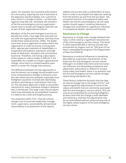zation. For example, the consistent enforcement of a strict policy requiring the use of seat belts in fire apparatus would probably, over a period of time, result in a change of values — at least with regard to seat belt use. Ultimately, the members of the fire and emergency service organization would come to accept and integrate seat belt use as part of their organizational culture.

Members of the fire and emergency service, especially fire chiefs, must align their personal values with the organizational values, and they must model these values (Cochran, 2006). The leader must then ensure alignment of values within the organization in order to ensure a strong work ethic; appropriate treatment of stakeholders; a cooperative atmosphere; teamwork; and high levels of dedication, discipline and commitment (Cochran). Therefore, not having a description of the values or culture makes it difficult, if not impossible, for a leader to initiate organizational change, since there is a limited baseline upon which to center the change interventions.

The difference between the two approaches is that the bottom-up strategy should enable much more comprehensive changes in behavior once the new values become accepted, especially since firefighters would be involved with identifying solutions (and doing so could bolster their buyin). The top-down approach is likely to encounter resistance for every individual change in behavior that is introduced. The large-scale cultural adjustment may eventually be accomplished; however, it is likely to be a slow and lengthy process.

The statement within FLSI 1 that the cultural change must incorporate leadership, management, supervision, accountability and personal responsibility is an expression of the need to

address the process with a unified effort at every level in order to accomplish the objective, working from the bottom up and from the top down. The successful insertion of occupational safety and health into the fire and emergency service value system should support numerous behavioral changes that could lead to a significant reduction in occupational deaths, injuries and illnesses.

#### **Resistance to Change**

Resistance to change, even change initiated internally, is often cited as a significant characteristic of fire and emergency service culture. This factor is often expressed with a mixture of pride and amusement by slogans such as "200 years of tradition unimpeded by progress" (Fire Department of New York (FDNY)).

Resistance to external influences is sometimes described as a particular characteristic of the American fire and emergency service culture. Although it is evident that more and more external influences are demanding compliance and adjustment, particularly in relation to occupational safety and health, there is no question that the fire and emergency service culture strongly resists being told what to do.

These factors underline the point that the type of cultural change that is the target of FLSI 1 will require significant adjustments to some of the values and beliefs that are commonly associated with fire and emergency service culture. This can only be accomplished by convincing firefighters at every level that the change is both desirable and necessary, and that the adjustments may be accommodated without compromising any of the highly valued aspects of fire and emergency service culture.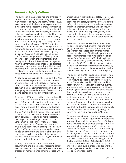#### *Toward a Safety Culture*

The culture of the American fire and emergency service community is a contributing factor to the high incidence of injury and death. Daniels (2005) asserts that until the fire and emergency service is willing to make substantial changes in training, procedures, equipment and recruiting, this fatal trend shall continue. In some cases, the injurious behaviors may have originated as a bad habit that evolved slowly over time into a tradition, slowly injecting a poor practice or dangerous procedure into the fire and emergency service organization over generations (Gasaway, 2005). Firefighters may engage in an unsafe act, thinking it is the correct way to operate or behave because the unsafe act or technique was how they were originally instructed (Gasaway). Storytelling and instruction from an older generation of firefighters to a younger generation of firefighters is a trait of the tightknit culture. This can be advantageous when the information is appropriate and relates to current department operating guidelines and situations, but it can be detrimental when there is no "filter" to ensure that the hand-me-down messages are safe and effective (Schaenman, 1996).

An additional issue cited by Pessemier is that "the U.S. Fire and Emergency Service does not have an institutionalized methodology for managing safety" (2008b, p. 1). He identifies this as a conflict between the organizational mission of the fire and emergency service and the view of safety as completing demands, instead of synergistic values.

Schneider (1973) suggests that cultures should be "for" something, for example "for service" or "for safety." One possible solution to the American fire and emergency service community's dilemma of how to change this culture is to develop an understanding of what it is and then refocus it to be "for" a different value or concept. Slight shifts in the practices within the fire and emergency service are likely to be more successful than large, sudden change (Daniels, 2005b). Schaenman identified that firefighters recognize the importance of safety, but they aren't always sure about how to accomplish an activity safely (1996). Incrementally moving the current values, and therefore the culture of the fire and emergency service, toward a safety culture can provide the framework and strategies for how to address both of these potential issues.

A safety culture reflects the values, norms, assumptions and expectations regarding safety (Mearns, 1999). A company's safety culture is expressed by management's safety practices, which

are reflected in the workplace safety climate (i.e., employees' perceptions, attitudes and beliefs about risk and safety) (Mearns, 1999). A positive safety culture, as part of comprehensive safety improvement interventions, has been shown to influence safety behaviors by maximizing employee motivation and improving safety knowledge, which, in turn, helps to improve employee compliance, thereby resulting in safer behaviors and fewer injuries.

Pessemier (2008a) furthers this notion of moving toward a safety culture in the fire and emergency service. For illustration, the Phoenix Fire Department has shifted from a transactional service model to one of building longer-term and deeper relationships by shifting the focus of its culture from "for service" to "for building longterm relationships" (Schneider, Bowen, Ehrhart, & Holcombe, 2000). This ability to change a culture in the fire and emergency service is supported by Hofstede, who states that an organizational culture is easier to change than a national culture (2001).

The culture of the U.S. could be modified toward a safety culture. The nuclear industry coined the term following accidents at Chernobyl in 1986 and at Three Mile Island in 1979 and used it to describe what was lacking in these two events. It is a concept that encompasses "a combination of managerial, organizational, and social factors" that contribute to accidents and near misses (Freimuth, 2006). Once cultural goals and expectations were identified, they were reinforced by managers to instill and then reinforce these changes. Regarding culture in the American fire and emergency service community, it has been said that "without the emergence of a new safety culture, all attempts [at increasing firefighter safety] will be in vain" (Siarnicki, 2010, p. 9).

Climate exists within a culture, so moving toward a safety culture would require movement toward a safety climate. While the main focus of this paper is cultural (versus climate) change, it is worth acknowledging the concept of climate and its close relationship to culture while differentiating the two concepts. Safety climate is not only a set of values, beliefs and perceptions about safety as a concept, but also the policies, procedures and practices that support safety in an organization (Colley, Lincolne, & Neal, 2013; Goulart, 2013). Climate is more temporal and local to a particular unit, whereas culture is broader and spans the entire organization, and in some cases, the profession (Mortenson, 2014).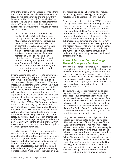One of the gradual shifts that can be made from the current culture toward a safety culture is to focus on fire-safe behavior, shifting away from heroic acts. Alan Brunacini, former chief of the Phoenix Fire Department and a firefighter there since 1958, describes the problem with the current nonsafety culture that focuses on heroic acts in this way:

"For 225 years, it was OK for a burning building to kill us. When the fire kills us, our department typically conducts a huge ritualistic funeral ceremony, engraves our name on the honor wall, and makes us an eternal hero. Every Line of Duty Death gets the same terminal ritual regardless if the firefighter was taking an appropriate risk to protect a savable life or was recreationally freelancing in a clearly defensive place … Genuine bravery and terminal stupidity both get the same eulogy. Our young firefighters are motivated and inspired to attack even harder by the ceremonialization of our battleground death" (2008, pp. 6-7).

By emphasizing actions that violate safety guidelines and awarding firefighters for heroic acts that come at a greater-than-usual level of risk or unnecessary danger (Walton et al., 2000), the message being communicated within the culture is that these types of behaviors are acceptable and will be rewarded. "Most of the awards for valor usually involve … doing things you aren't supposed to do. It's in our nature to want to save someone. If nothing goes wrong despite ignoring the rule, you'll be praised for saving someone" (Peterson et al., 2010, p. 27). Brunacini explains this disregard for safety by suggesting that today's firefighters "… have never stopped hearing Ben [Franklin]'s voice tell them to be Fast/Close/ Wet when they are responding to a fire. I think this is what culture really means in the current safety discussion" (2008, p. 9). Firefighters need a safety culture message that speaks louder than Ben Franklin's whispers to effect a change within a system that promotes and rewards appropriate risk management behaviors.

A concise summary for the role of culture in the fire and emergency service is provided in this quote from the Charleston, South Carolina, report on nine firefighters killed in 2007: "The cultural lessons may be the most important and also the hardest to embrace" (Laws, 2008, p. 64). Making sense of cultural lessons such as this requires a solid understanding of the organization's history (Hofstede, 2001). While much of the work on injury and fatality reduction in firefighting has focused on technology and increasingly more stringent regulations, little has focused on the culture.

A closing thought from Hofstede (2000) serves as a fitting end to the discussion of the organizational culture and values in the fire and emergency service and the need for a shift in this culture to reduce on-duty fatalities. "Uniformed organizations have to balance their attempts to introduce new ways of working … with the necessity of preserving traditional basics. Changing uniformed cultures requires patience and wisdom" (p. 481). It is the intent of this research to develop some of the wisdom necessary to effect a positive change in the fire and emergency service by reducing the number of on-duty deaths through first understanding the existing values of the fire and emergency service.

#### **Areas of Focus for Cultural Change in Fire and Emergency Services**

Thus far, this report has defined culture, described the origins and characteristics of the culture of the American fire and emergency service community, and made a case to move toward a safety culture. The staggering death and injury toll within the fire and emergency service has also been detailed, and from that description, it is clear that the losses experienced are disproportionate to the decreasing number of fires in the U.S.

The culture of unsafe practices may be so deeply ingrained that efforts to change are viewed as challenges to fundamental beliefs, while other unsafe practices are created by the culture of the fire and emergency service as a whole. Still other behaviors, which are not cultural or motivational, are the result of an individual's health or family history. The Project Team focused on the changes that could be standardized and easily implemented within an organization to effect change.

Using the focus areas and their objectives, the Project Team concentrated on developing sets of behaviors for chief officers, Company Officers (COs) and firefighters that minimize risk. These behaviors were derived using a frequency analysis and consensus of the working group. Risk-taking behaviors have been shown to be an organizational problem and not one that lies solely with firefighters' behaviors; therefore, strategies to change firefighter behavior need to address multiple levels of influence. The working group identified the following areas of focus: situational awareness, individual responsibility, leadership, health and wellness, training, vehicle operations, seat belt usage, recruiting, and environmental factors.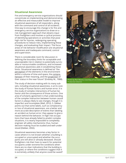#### **Situational Awareness**

Fire and emergency service organizations should concentrate on implementing and demonstrating an effective and measurable model to improve situational awareness of all responders, along with the command and control of all incidents. One way to encourage this change is for fire and emergency service organizations to draw on a risk management approach that obtains input from firefighters and involves a cyclical process of identifying operations or activities that pose high risk for injuries, redesigning operating procedures to reduce risks, implementing these changes, and evaluating their impact. The focus areas of risk behavior modification are situational awareness and inadequate command, control and supervision.

There is considerable room for discussion in defining the boundary limits for acceptable and unacceptable risk in relation to potentially survivable or nonsurvivable conditions, and increased situational awareness aids in establishing these limits. Situational awareness is defined as "the perception of the elements in the environment within a volume of time and space, the comprehension of their meaning, and the projection of their status in the near future" (Endsley M., 1988).

The study of decision-making with its many subsets, including situational awareness, is at its core: the study of human factors and human error. It is the study of complex interactions of human behavior and the consequence of those actions. One area of scholarly agreement is that understanding of the complex interaction between human causal factors is always likely to see changes, though it is imperfect and incomplete (Wall, 2012). S. Dekker points out that some labels, such as complacency or loss of situational awareness, are a better and more accurate description of events than labeling an accident as human error; they appear to give a reason behind the behavior. In high-risk occupations that have already failed to predict complex situations, it is nearly impossible to completely engineer all safety mechanisms; thus, human decision-making must be studied and well-understood (Dekker, 2002).

Situational awareness becomes a key factor in cases where it is not known whether a building is occupied or unoccupied and whether the occupants are still alive or already deceased. Should firefighters risk their lives to search for potential occupants under extreme fire conditions when there are no clear indications that the building is occupied, or where fire conditions suggest that it is extremely unlikely that anyone could be saved?



Photo by Ron Moore, Courtesy of Cornbelt (Illinois) Fire Protection District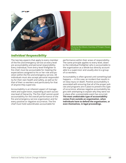

#### *Individual Responsibility*

The two key aspects that apply to every member of the fire and emergency service at every level are accountability and personal responsibility. Every individual, from entry-level firefighter to fire chief, must be accountable for meeting the expectations assigned to his or her role and position within the fire and emergency service. All individuals must also accept personal responsibility for their own health and safety, as well as for that of their co-workers and particularly for that of anyone they supervise.

Accountability is an inherent aspect of management and supervision, expanding at each successive level of hierarchy. The fire chief cannot avoid accountability for the overall performance of the fire and emergency service organization and for every positive or negative occurrence. The fire chief must hold subordinates accountable for

performance within their areas of responsibility. The same principle applies to every level, down to the individual firefighter who is accountable to the organization as a whole but directly accountable to a supervisor and usually also to a group of co-workers.

Accountability is often ignored until something bad happens — in this case, an incident that results in on-duty injury or death. Positive accountability is associated with ensuring that all of the proper policies and programs are in place to prevent this type of occurrence, whereas negative accountability begins with attempting to explain why they were not in place after a preventable event has occurred. **The most undesirable type of accountability comes from outside an organization, when individuals have to defend the organization, or even themselves, in legal proceedings.**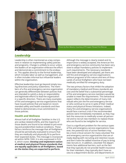

#### *Leadership*

Leadership is often mentioned as a key component in relation to implementing safety policies and programs. Change is unlikely to occur unless the leaders of an organization embrace the effort and demonstrate a commitment to the endeavor. This applies directly to the formal leadership, which includes labor as well as management, and it often includes informal but influential leaders within the organization.

Effective leadership must go beyond simply issuing directives and policy statements. The members of a fire and emergency service organization can generally differentiate between policies that are intended to satisfy a duty or responsibility and legitimate efforts to lead the organization in a specific direction. There are many examples of fire and emergency service organizations that have issued policies that are based on recommended safety and health standards and then failed to demonstrate a true commitment to those policies.

#### **Health and Wellness**

Almost half of all firefighter fatalities in the U.S. are cardiac-related (USFA), and the majority of those deaths are found to be related to pre-existing and preidentified medical conditions. These factors reinforce the message that all firefighters should be periodically evaluated to ensure that they are medically and physically fit to perform their expected duties. This message is incorporated within NFPA 1500. It is also expressed in FLSI 6, which states: **Develop and implement national medical and physical fitness standards that are equally applicable to all firefighters, based on the duties they are expected to perform.** 

Although the message is clearly stated and its importance is widely accepted, the American fire and emergency service community has been very slow to adopt mandatory policies to implement such requirements. The necessary standards have been developed and adopted, yet there are still fire and emergency service organizations without programs of this nature and tens of thousands of active firefighters who have not been medically certified for emergency duty.

The two primary factors that inhibit the adoption of mandatory medical and fitness standards are cost and the belief that a substantial percentage of fire and emergency service members would be unable to meet the requirements. This behavioral aspect reflects the determination of many individuals who join the fire and emergency service or who continue to serve in spite of their medical status and physical fitness limitations. Indeed, many fire and emergency service organizations would face a serious crisis if the recommended policies were immediately mandated, as they may lack the resources to medically screen all personnel and to recruit new members to replace those who are found to be ineligible for service.

Cost is a significant problem for the various types of fire and emergency service organizations; however, the potential loss of active members may be a more critical concern for many volunteer fire and emergency service organizations that are already dealing with recruiting and retention issues and don't have the added incentive of pay to bring new recruits in. In addition, volunteer fire departments face additional barriers, such as the fact that they typically do not provide health insurance for their members, they typically don't have access to a department doctor, and departments in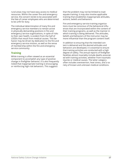rural areas may not have easy access to medical resources. Within the career fire and emergency service, the concern tends to be associated with the fate of career employees who are determined to be unfit for duty.

The individual determination of many fire and emergency service members to remain active in physically demanding positions in fire and emergency service organizations, in spite of risks to their own health, is evident from the half of LODDs that result from medical causes. This behavior may be driven by dedication to the fire and emergency service mission, as well as the sense of membership within the fire and emergency service community.

#### **Training**

While training is often viewed as an essential component to accomplish any type of positive change in firefighter behavior, it is also frequently noted that inappropriate training is encouraging or reinforcing high-risk behaviors. This suggests

that the problem may not be limited to inadequate training; it may also involve applicable training that establishes inappropriate attitudes, actions, beliefs and behaviors.

Fire and emergency service training organizations must be conscious of the behavioral influences that are incorporated within the content of their training programs, as well as the manner in which training is being delivered. The attitudes, beliefs and behaviors of the instructor may be more influential than the program content itself.

In addition to ensuring that the intended content is delivered and the desired attitudes and behaviors are developed, it is essential to ensure that training activities are conducted with a high degree of safety. The annual reports of firefighter fatalities almost invariably include deaths associated with training activities, whether from traumatic injuries or medical causes. The latter category often includes overexertion, heat stress, and a variety of known and unknown medical conditions.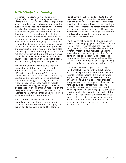#### *Initial Firefighter Training*

Firefighter competency is foundational to firefighter safety. Training for firefighters (NFPA 1001, *Standard for Fire Fighter Professional Qualifications*) should include educational components that discuss the new science and research now available, including fire behavior based on factors such as fuels present, the limitations of PPE, and the limitations of the human body when fighting fire in the new protective ensembles. Back to basics isn't more hose evolutions — it is the **why** behind what we do. Fire and emergency service organizations should continue to monitor research and the ensuing evidence to adapt/update protocols and practices that improve safety and fire protection. Firefighters should be taught to evaluate the risk of every action so they never have to answer "I don't know" when asked why they took a particular action. Firefighters should not take action without knowing the possible consequences.

The fire and emergency service has seen and heard of presentations based on the Underwriters Laboratory (UL) and National Institute of Standards and Technology (NIST) research conducted with the Chicago Fire Department; FDNY; Spartanburg, South Carolina Fire and Rescue; and others that suggest a change to traditional first-arriving actions. These research reports, based on science, suggest changes to the initial on-scene report and operational mode, which are designed to limit exposure to risk, that include "aggressive defensive operation being performed in preparation for an interior attack."

The UL and NIST live burn tests are aimed at quantifying emerging theories about how fires are different today. This difference is largely due to new building construction and the composition of home furnishings and products that in the past were mainly composed of natural materials, such as wood and cotton, but now contain large quantities of petroleum-based products and synthetics that burn faster and hotter. Whereas a fire in a room once took approximately 20 minutes to experience "flashover" — igniting all the contents — this can happen with today's products in as little as four to five minutes.

The primary motivation for the live burn experiments is the changing dynamics of fires. The contents of American homes have changed significantly in the past few decades. Plastics and other synthetic materials have replaced the natural materials that once made up the bulk of furniture items. In addition, modern living spaces tend to be more open, less compartmentalized and better insulated than homes built years ago, leading to increased fire spread in "modern dwellings."

The UL/NIST studies suggest that a change in traditional tactics begins with a direct exterior attack, making the interior safer for entry when the interior attack begins. This is being viewed as particularly appropriate in reduced staffing or delayed backup situations. These changes may pose a cultural challenge with the use of the verbiage, such as "aggressive exterior attack" instead of the traditional "defensive operation," which implies that we are giving up. Regardless of how the incident begins, in the most critical situations, the IC has to make the decision to switch from an offensive strategy to a defensive strategy and withdraw firefighters from interior operating positions based on an ongoing assessment of incident scene hazards.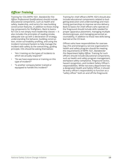#### *Officer Training*

Training for COs (NFPA 1021, *Standard for Fire Officer Professional Qualifications*) should include educational components, such as health and safety, leadership, and tactics for new building construction features, in addition to those changing components for firefighters. Back to basics for COs is not simply more leadership classes — it also includes the principles of reading smoke, adequate size-up with a declaration of strategy, understanding fire behavior, building construction, victim survivability profiling, and using the Incident Command System to help manage the incident with safety as the overarching, guiding principle. COs should be asking themselves:

- "Am I training on the types of incidents to which we actually respond?"
- "Do we have experience or training on this type of incident?"
- "Is another company better trained or equipped to handle this incident?"

Training for chief officers (NFPA 1021) should also include educational components related to budgeting (execution and understanding) and maximizing partnerships to improve service delivery. Back to basics for chief officers who operate on the fireground should include skills needed for proper apparatus placement, managing multiple divisions/groups, and managing personnel accountability, in addition to those new skills being learned at the CO level.

Officers who have responsibilities for overseeing a fire and emergency service organization's health and safety program should be meeting the requirements of NFPA 1521, *Standard for Fire Department Safety Officer*. Training for such officers should include educational components, such as health and safety program management, workplace safety compliance, fireground tactics, hazard recognition, and Incident Safety Officer's responsibilities. While not every department has a designated Health and Safety Officer, it should be every officer's responsibility to function as a "safety officer" both on and off the fireground.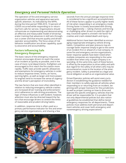#### *Emergency and Personal Vehicle Operation*

The operation of fire and emergency service organization vehicles and apparatus warrants specific attention. As indicated by the NFPA, during the time period 1998-2013, 13 percent of LODDs occurred while responding to or returning from calls for service. Organizations should concentrate on implementing and demonstrating an effective and measurable model of driver/operator training that advances in skill sets throughout a career and that ensures quality and driver/ operator accountability. The focus areas of risk behavior modification are driver capability, quality assurance and accountability.

#### **Factors Influencing Safe Emergency Response**

The basic nature of the emergency response mission encourages drivers to reach the scene of an incident as quickly as possible, and in the case of more rural departments, firefighters are encouraged to first reach the fire station more rapidly. Traffic laws provide specific allowances and exemptions for emergency vehicles in order to reduce response times. Sirens, air horns, warning lights, as well as larger and more powerful engines tend to increase the sense of urgency and the driver's perception of invincibility.

The two factors that are most often identified in relation to reducing emergency vehicle crashes are increased driver training and enforcement/ strict adherence to safe driving procedures. The logic of these influences is self-evident; however, attention must also be directed toward the factors that encourage drivers to stretch the limits of reasonable and prudent driving habits.

In addition, response time is often used as a primary performance indicator for fire and emergency service organizations, and shaving a few

seconds from the annual average response time is considered to be a significant accomplishment. All of these factors appear to justify higher levels of risk when responding in an emergency mode. Driving faster is closely associated with driving more aggressively — taking chances and forcing or challenging other drivers to yield the right of way. Excessive speed is a known risk factor for crashes and crash-related death and injury.

Additional factors have been identified as encouraging inappropriate emergency vehicle driving habits. Competition and peer pressure may encourage faster response simply to get to the scene of an incident first or ahead of a rival company. In some fire and emergency service organizations, faster response speeds have been noted when multiple companies are responding to the same incident than when only a single company is responding. At the same time, each of these factors is offset by the expectation to drive safely and with due regard for the safety of all others who may be encountered en route to the location of the emergency incident. Safety is presented as a legal and moral obligation as well as an organizational value.

Driver/Operator policies will assist every jurisdiction in establishing the guidance needed for their members to safely operate all vehicles when responding to or returning from an incident, beginning with proper licensure for the jurisdiction, as well as proper training on how to drive and operate the specific emergency vehicles that the driver will be responsible for. It is prudent that not only departmental policies but also national guidelines be established that define tiered emergency responses for all departments. These policies must address both personal and department vehicles and cover both emergency and nonemergency driving expectations.

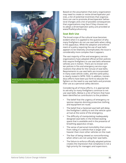

Photo by Ron Moore, Courtesy of Prosper (Texas) Fire Rescue

Based on the assumption that every organization may need to create or revise driver/operator policies, a list of potential incentives that organizations can use to promote driver/operator behavioral changes and a list of possible consequences that organizations may face if they choose not to adopt a driver/operator policy are provided at www.ffsafetyculture.org.

#### **Seat Belt Use**

The broad scope of the cultural issue becomes evident when it is applied to the question of why many firefighters do not use seat belts when riding in fire apparatus. While the adoption and enforcement of a policy requiring the use of seat belts appears to be relatively uncomplicated, the issue is considerably more complex than it appears.

The vast majority of fire and emergency service organizations have adopted official written policies that require firefighters to use seat belts whenever vehicles are in motion. There are no known written policies in fire and emergency service organizations that allow for the nonuse of seat belts. Requirements to use seat belts are incorporated in many state vehicle codes, and the same policy is clearly stated in NFPA 1500. In addition, tremendous efforts have been put forth to educate firefighters on the need to use seat belts and promote their use as a personal safety decision.

Considering all of these efforts, it is appropriate to ask why so many firefighters continue to not use seat belts. Below is a list of factors that have been identified as contributors to the problem:

- The belief that the urgency of emergency response requires donning protective clothing and equipment en route.
- The belief that a fastened seat belt will delay the firefighter's ability to exit the vehicle upon arrival at the scene of the emergency.
- The difficulty of manipulating inadequately designed seat belts in the limited seating space that is available and in the presence of breathing apparatus straps.
- The sense of personal invincibility that comes from riding in a vehicle that is larger and heavier than most other vehicles on the road.
- The fear of being viewed as nonconforming when others are not using their seat belts.
- The failure to enforce officially adopted policies creates the impression that compliance is not a high priority for managers and supervisors.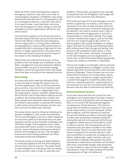While all of the noted rationalizations apply to emergency response, they often carry over to nonemergency situations. Firefighters may easily develop the attitude that if it is acceptable to ride to an emergency without a seat belt, then there is no need to wear a seat belt when returning from the emergency or when riding in a fire and emergency service organization vehicle for any other reason.

One key factor appears to be the priority that is directed toward seat belt use by the fire chief and senior level officers of the fire and emergency service organization. A strong policy statement accompanied by a serious enforcement policy is usually effective in achieving a high level of compliance. In larger organizations, the policy must be enforced at each successive level of supervision down to the individual firefighter.

Where there are valid technical issues, such as problems with the design and installation of seat belts, management must be prepared to address those problems as part of the overall strategy. Members cannot be expected to work with equipment that does not perform the required function.

#### **Recruiting**

An important point made by Hofstede (2000) is that one way to change the culture of a uniformed organization, such as the fire and emergency service, is to recruit more members with values that are different or independent from the organization. Soeters and Boer (2000) found this to be the case to help reduce military aircraft accidents. By incorporating more civilians and fewer people who had been indoctrinated into the military value system, a cultural shift toward a safer work environment ensued, and the number of aircraft accidents was reduced.

The same factors tend to influence individuals to become firefighters, both career and volunteer. The fire and emergency service is often viewed as an attractive outlet for individuals who are seeking opportunities to face extreme challenges and imminent danger. The recognition that is often associated with heroic actions is further motivation for many individuals to become involved in the fire and emergency service. The strongest, bravest and most daring individuals are often motivated to become firefighters.

The whole notion of daring and death defiance is continually applied to the fire and emergency service from external sources. The public tends to view firefighters as individuals who are willing to face extreme risks in order to save lives and

property. These public perceptions are naturally incorporated into the firefighters' self-image and tend to further promote risky behaviors.

The media portrayal of fire and emergency service workers is generally not realistic, and it does not represent a true slice of what the work of the fire and emergency service is. Protective clothing may be altered or not used to show an actor's face or demonstrate a level of aggression or risk that is unreasonable in a real-world setting. This image is further reinforced by slogans such as "No Fear" and "Are You Tough Enough to Be a Hero?" as well as graphics portraying firefighters as dragon slayers and warriors facing overwhelming threats with nothing more than courage and daring. Peer pressure and competition often entice a "more daring" spirit than other individuals, companies, or fire and emergency service organizations. In some cases, actions that demonstrate appropriate caution are viewed as cowardly or impossible.

The warrior image is increasingly used to promote a sense of preparedness to engage in actions that require high levels of training and involve extreme physical challenges. These concepts are not inconsistent with the values of a strong safety culture. In many cases, the warrior image is presented in a context that appears to label the safety movement as a cowardly approach, expressing the notion that warriors are not concerned with safety because they are able to overcome any adversity.

#### **Environmental Factors**

It has been observed that the current fire and emergency service generation has been raised in an environment that glorifies risk and expresses little or no concern for the potential negative consequences of bad decisions. The Internet along with tremendous expansion in the use of social media outlets, such as Facebook, Twitter and Instagram, and the influence of national fire service websites provide a continual supply of video clips and photos showing individuals risking life and limb in the pursuit of thrills and recognition. While many of these efforts result in obvious injuries, the consequences of such misadventures are never included in the video that is posted. There is an aura that even anonymous recognition for extreme daring is sufficient justification to accept the consequences of failure. Additionally, newer members who are accustomed to playing video games that allow individuals to experience simulated confrontation with every conceivable danger, with absolutely no risk of death or injury to the thrill seeker, may contribute to a lack of understanding of real-life consequences of high-risk behaviors.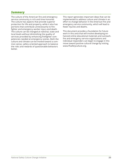The culture of the American fire and emergency service community is rich and time-honored. The culture has aspects that provide superior protection for life and property, while it also has portions that contribute unnecessarily to firefighter and emergency worker injury and death. The culture can be changed at national, state and local levels without diminishing the quality of services provided by enhancing firefighter competencies needed at emergency scenes. Both the culture and climate can be moved toward a common sense, safety-oriented approach to balance the risks and rewards of questionable behaviors better.

This report generates important ideas that can be implemented to address culture and climate in an effort to change behavior in the American fire and emergency service community, which will lead to fewer injuries and deaths.

This document provides a foundation for future work in this area that will involve developing enhanced online educational materials and outreach. fire and emergency service organizations and individual responders can begin to engage in this move toward positive cultural change by visiting www.ffsafetyculture.org.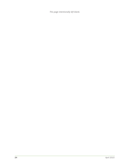*This page intentionally left blank.*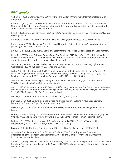#### *Bibliography*

Archer, D. (1999). *Exploring Bullying Culture in the Para-Military Organization.* International Journal of Manpower, 20(1) pp. 94-105.

Baigent, D. (2001). One More Working Class Hero: A Cultural Audit of the UK Fire Service. Retrieved November 4, 2011 from http://www.worldcat.org/title/one-more-last-working-class-hero-a-culturalaudit-of-the-uk-fire-service/oclc/52951673.

Bland, R. E. (1973). *America Burning: The Report of the National Commission on Fire Prevention and Control*. Washington, DC.

Brennan, C. (2011). The Combat Position: Achieving Firefighter Readiness. Tulsa, OK: Pennwell.

Brunacini, A. V. (2008). Fast/close/wet. Retrieved November 4, 2011 from http://www.riskinstitute.org/ peri/images/file/S908-D2-Brunacini.pdf.

Bruni, J. V., Jr. (2012). *Occupational Health and Safety for the Fire Service*. Upper Saddle River, NJ: Pearson.

Clark, B. A. (2011). Your Behavior Comes From Ben Franklin's DNA: Fast, Close, Wet, Risk, Injury, Death. Retrieved November 4, 2011 from http://www.firehouse.com/topic/firefighter-safety/your-behaviorcomes-ben-franklins-dna-fast-close-wet-risk-injury-death.

Cochran, K. J. (2006). The Fire Chief of the Future. In Buckman III, J. M. (Ed.), *Fire Chief Officer's Desk Reference* (pp. 453-468). Sudbury, MA: Jones and Bartlett.

Colley, S. K., Lincolne, J., & Neal, A. (2013). An Examination of the Relationship Amongst Profiles of Perceived Organizational Values, Safety Climate and Safety Outcomes. *Safety Science*, 51(1), 69-76. Retrieved November 4, 2011 from http://dx.doi.org/10.1016/j.ssci.2012.06.001.

Compton, D. (2003). Leadership for Today and Tomorrow. In Coleman, R. J. (Ed.), *The Fire Chief's Handbook*, 6th ed. (pp. 205-228). Tulsa, OK: Pennwell.

Cross, H. (2010). Implementing the 16 Firefighter Life Safety Initiatives in a Fire Department. In National Fallen Firefighters Foundation, *Understanding and Implementing the 16 Firefighter Life Safety Initiatives*  (pp. 265-271). Stillwater, OK: Fire Protection Publications.

Daniels, I. D. (2005a). Unacceptable Behavior. *Fire Chief*, January 2005.

Daniels, I. D. (2005b). Cultural Combat Tactics: Addressing Safety Culture in Your Organization. Presented at Firehouse Expo, Baltimore, MD in July 2005.

Dekker, S. (2002). *The Field Guide to Human Error Investigations*. Burlington, VT: Ashgate Publishing Company.

Endsley, M. (1988). Design and Evaluation of Situation Awareness Enhancement. In *Proceedings of the Human Factors Society 32nd Annual Meeting* (pp. 97-101). Santa Monica: Human Factors Society.

Freimuth, R. J. (2006). Perceptions of Safety Culture: A Study Of Fire Chiefs in Volunteer Fire Department. (Doctoral dissertation, Capella University, 2006.)

Gasaway, R. B. (2005). Some Traditions Haunt Us Every Day. Fire Engineering, 158(2), 10-14.

Goodman, E. A., Zammuto, R. F., & Gifford, B. D. (2001). The Competing Values Framework: Understanding the Impact of Organizational Culture on the Quality of Work Life. *Organization Development Journal*, Fall 2001.

Goulart, C. (2013). Resolving the Safety Culture/Safety Climate Debate. Blog post on 11-08-13. Retrieved from http://ohsonline.com/Blogs/The-OHS-Wire/2013/11/Resolving-the-Safety-CultureSafety-Climate-Debate.aspx?p=1.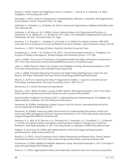Granito, J. (2003). Origins of Firefighting in the US. In Kelly, E. L., Yatsuk, R. A., & Routly, J. G. (Eds.), *Firefighters*. Emmitsburg, MD: NFFF.

Hofstede, G. (2001). *Culture's Consequences: Comparing Values, Behaviors, Institutions, And Organizations Across Nations*, 2nd ed. Thousand Oaks, CA: Sage.

Hofstede, G., Hofstede, G. J., & Minkov, M. (2010). *Cultures and Organizations: Software of the Mind*. New York: McGraw Hill.

Hofstede, G., & Peterson, M. F. (2000). Culture: National Values and Organizational Practices. In Ashkanasy, N. M., Wilderom, C. P., & Peterson, M. F. (Eds.), *The Handbook of Organizational Culture And Climate* (pp. 401-416). Thousand Oaks, CA: Sage.

Houdous, T. K., Pizatella, T. J., Braddee, R., & Castillo, D. N. (2004). Fire Fighter Fatalities 1998-2001: Overview with an Emphasis on Structure Related Traumatic Fatalities. *Injury Prevention* (10) pp. 222-226.

Kluckhorn, C. (1951). *The Study of Culture.* Stanford: Stanford University Press.

Kunadharaju, K., Smith, T. D., & DeJoy, D. M. (2011). Line-of-Duty Deaths Among U.S. Firefighters: An Analysis of Fatality Investigations. *Accident Analysis and Prevention* (43) pp. 1171-1180.

Laws, J. (2008). The Lessons of Charleston. *Occupational Health and Safety*. Retrieved on November 4, 2011 from http://ohsonline.com/articles/2008/08/the-lessons-of-charleston.aspx.

Lewis, S. (2004). Research Paper Two: Gender and Firefighter Training. Retrieved November 4, 2011 from http://www.fitting-in.com/c/GenderProjectPaper2.pdf.

Linke, T. (2008). Standard Operating Procedures for Single-Family Dwelling Fires Lincoln Fire and Rescue. EFO Paper. Retrieved from http://www.usfa.fema.gov/pdf/efop/efo42634.pdf.

Mearns, K., & Flin, R. Assessing the State of Organizational Safety — Culture or Climate? Current Psychology: Developmental, Learning, Personality, Social. 1999; 18:5-17.

Mortenson, R. P. (2014). Personal Correspondence.

Murphy, J. (2011). When Fire Wins: Causes of FDNY Deaths. Retrieved November 4, 2011 from http:// www.citylimits.org/news/articles/4421/when-fire-wins-causes-of-fdny-deaths.

National Fallen Firefighters Foundation (2011). *Understanding and Implementing the 16 Firefighter Life Safety Initiatives*. Stillwater, OK: Fire Protection Publications.

Pessemier, W. (2008a). Developing a Safety Culture in the Fire Service. *International Journal of Fire Service Leadership and Management* (2)1.

Pessemier, W. (2008b). Improving Safety Performance by Understanding Perceptions of Risk and Improving Safety Management Systems. Retrieved November 4, 2011 from http://www.riskinstitute. org/peri/images/file/S908-D2-Pessemier.pdf.

Peterson, K. K., Witt, M. B., Morton, K. B., Osmsted, M. G., Amandus, H. E., Proudfoot, S. L., & Wassell, J. T. (2010). Fire Fighter Fatality Investigation and Prevention Program: Findings from a National Evaluation. Retrieved November 4, 2011 from http://www.rti.org/pubs/rr-0008-1003-peterson.pdf.

Pidgeon, N., & O'Leary, M. (2000). Man-Made Disasters: Why Technology and Organizations (sometimes) Fail. *Safety Science* (34)15-30.

Routley, J. G. (2007). City of Charleston: Post Incident Assessment and Review Team. Phase I Report. Retrieved November 4, 2011 from http://www.nifc.gov/safety/safety\_documents/phase1.pdf.

Schaenman, P. (1996). Wildland Firefighter Awareness Study. Retrieved November 4, 2011 from https:// www.iaff.org/07News/PDF/CHSRpt.pdf.

Schein, E. H. (1992). *Organizational Culture and Leadership: A Dynamic View*. San Francisco: Jossey-Bass.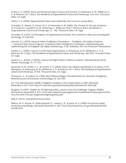Schein, E. H. (2000). Sense and Nonsense About Culture and Climate. In Ashkanasy, N. M., Wilderom, C. P., & Peterson, M. F. (Eds.), *The Handbook of Organizational Culture and Climate* (pp. xxiii-xxx). Thousand Oaks, CA: Sage.

Schein, E. H. (2004). *Organizational Culture and Leadership*. San Francisco: Jossey-Bass.

Schneider, B., Bowen, D., Erhart, M. E., & Holcombe, K. M. (2000). The Climate for Service: Evolution of a Construct. Located in N. M. Ashkanasy, C. Wilderom, & M. F. Peterson (Eds.), Handbook of Organizational Culture and Climate (pp. 21 – 36). Thousand Oaks, CA: Sage.

Schneider, B. (1973). The Perception of Organizational Climate: The Customer's View. *Journal of Applied Psychology*, 57, 248-256.

Siarnicki, R. J. (2010). National Fallen Firefighters Foundation — Firefighter Life Safety Initiatives — Everyone Goes Home Program. In National Fallen Firefighters Foundation, *Understanding and Implementing the 16 Firefighter Life Safety Initiatives* (pp. 3-22). Stillwater, OK: Fire Protection Publications.

Soeters, J. L. (2000). Culture in Uniformed Organizations. In Ashkanasy, N. M., Wilderom, C. P., & Peterson, M. F. (Eds.), *The Handbook of Organizational Culture and Climate* (pp. 465-481). Thousand Oaks, CA: Sage.

Soeters, J. L., & Boer, P. (2000). Culture and Flight Safety in Military Aviation. *International Journal of Aviation Psychology*, 10, 111-133.

Stackman, R. W., Pinder, C. C., & Connor, P. E. (2000). Value Lost: Redirecting Research on Values in the Workplace. In Ashkanasy, N. M., Wilderom, C. P., & Peterson, M. F. (Eds.), *The Handbook of Organizational Culture and Climate* (pp. 37-54). Thousand Oaks, CA: Sage.

Thompson, A., III, & Bono, B. (1993). Work Without Wages: The Motivation for Volunteer Firefighters. *American Journal of Economics and Sociology*, 52, 323-343.

U.S. Fire Administration (2008). Firefighter Fatalities in the United States in 2007. Retrieved November 4, 2011 from http://m.usfa.fema.gov/downloads/pdf/publications/ff\_fat07.pdf.

Vaughan, D. (1997). Targets for Firefighting Safety: Lessons from the Challenger Tragedy. *Wildfire*. Retrieved on November 4, 2011 from http://www.blm.gov/pgdata/etc/medialib/blm/wy/programs/fire/ hros.Par.15551.File.dat/Targets4FirefightingSafety.pdf.

Wall, D. (2012). Unpublished dissertation.

Walton, W. D., Bryner, N., Madryzkowski, D., Lawson, J. R., & Jason, N. H. (1999). Fire service needs workshop proceedings. Retrieved November 4, 2011 from http://www.fire.nist.gov/bfrlpubs/fire00/ art038.html.